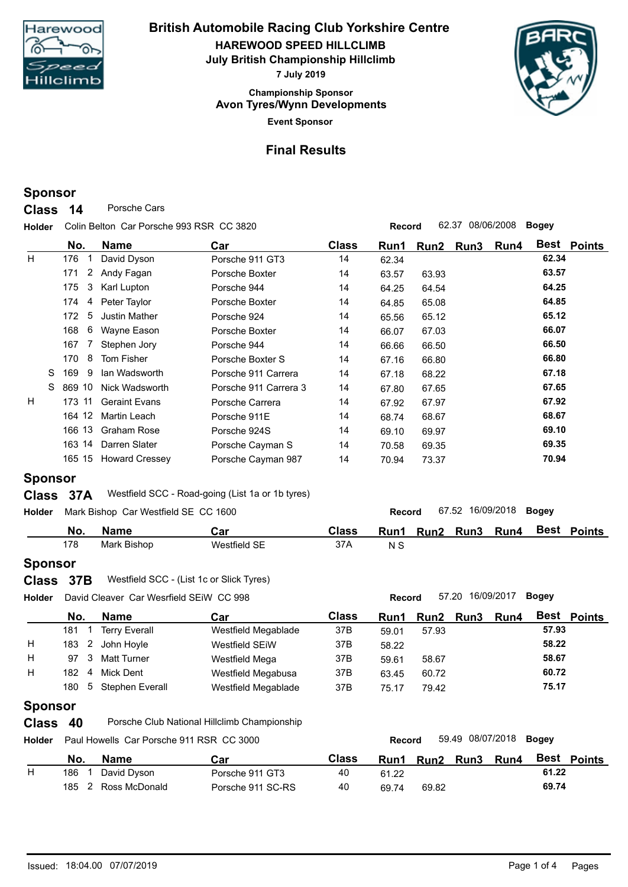

**Event Sponsor Championship Sponsor HAREWOOD SPEED HILLCLIMB British Automobile Racing Club Yorkshire Centre July British Championship Hillclimb 7 July 2019 Avon Tyres/Wynn Developments**



### **Final Results**

### **Sponsor**

**Class** 14 Porsche Cars

**Holder Record** 62.37 08/06/2008 **Bogey** Colin Belton Car Porsche 993 RSR CC 3820

|    | No.                   | <b>Name</b>           | Car                   | <b>Class</b> | Run1  | Run2  | Run3 | Run4 |       | Best Points |
|----|-----------------------|-----------------------|-----------------------|--------------|-------|-------|------|------|-------|-------------|
| H. | 176                   | David Dyson           | Porsche 911 GT3       | 14           | 62.34 |       |      |      | 62.34 |             |
|    | $\overline{2}$<br>171 | Andy Fagan            | Porsche Boxter        | 14           | 63.57 | 63.93 |      |      | 63.57 |             |
|    | 3<br>175              | Karl Lupton           | Porsche 944           | 14           | 64.25 | 64.54 |      |      | 64.25 |             |
|    | 174<br>4              | Peter Taylor          | Porsche Boxter        | 14           | 64.85 | 65.08 |      |      | 64.85 |             |
|    | 5<br>172              | <b>Justin Mather</b>  | Porsche 924           | 14           | 65.56 | 65.12 |      |      | 65.12 |             |
|    | 6<br>168              | Wayne Eason           | Porsche Boxter        | 14           | 66.07 | 67.03 |      |      | 66.07 |             |
|    | 167                   | Stephen Jory          | Porsche 944           | 14           | 66.66 | 66.50 |      |      | 66.50 |             |
|    | 8<br>170              | Tom Fisher            | Porsche Boxter S      | 14           | 67.16 | 66.80 |      |      | 66.80 |             |
|    | S.<br>169<br>9        | Ian Wadsworth         | Porsche 911 Carrera   | 14           | 67.18 | 68.22 |      |      | 67.18 |             |
|    | S.<br>869 10          | Nick Wadsworth        | Porsche 911 Carrera 3 | 14           | 67.80 | 67.65 |      |      | 67.65 |             |
| H  | 173 11                | <b>Geraint Evans</b>  | Porsche Carrera       | 14           | 67.92 | 67.97 |      |      | 67.92 |             |
|    | 164 12                | Martin Leach          | Porsche 911E          | 14           | 68.74 | 68.67 |      |      | 68.67 |             |
|    | 166 13                | <b>Graham Rose</b>    | Porsche 924S          | 14           | 69.10 | 69.97 |      |      | 69.10 |             |
|    | 163 14                | Darren Slater         | Porsche Cayman S      | 14           | 70.58 | 69.35 |      |      | 69.35 |             |
|    | 165 15                | <b>Howard Cressey</b> | Porsche Cayman 987    | 14           | 70.94 | 73.37 |      |      | 70.94 |             |

## **Sponsor**

#### **Class** 37A Westfield SCC - Road-going (List 1a or 1b tyres)

| <b>Holder</b> |     | Mark Bishop Car Westfield SE CC 1600 |              |              | Record | 67.52 16/09/2018 |      | Bogey |        |
|---------------|-----|--------------------------------------|--------------|--------------|--------|------------------|------|-------|--------|
|               | No. | <b>Name</b>                          | Car          | <b>Class</b> | Run1   | Run2 Run3        | Run4 | Best  | Points |
|               | 178 | Mark Bishop                          | Westfield SE | 37A          | N S    |                  |      |       |        |

### **Sponsor**

| Class 37B | Westfield SCC - (List 1c or Slick Tyres) |
|-----------|------------------------------------------|
|-----------|------------------------------------------|

| <b>Holder</b> |                       | David Cleaver Car Wesrfield SEIW CC 998 |                     |              | <b>Record</b> |       | 57.20 16/09/2017 |             | <b>Bogey</b> |                    |
|---------------|-----------------------|-----------------------------------------|---------------------|--------------|---------------|-------|------------------|-------------|--------------|--------------------|
|               | No.                   | <b>Name</b>                             | Car                 | <b>Class</b> | Run1          |       | Run2 Run3        | <b>Run4</b> |              | <b>Best Points</b> |
|               | 181                   | <b>Terry Everall</b>                    | Westfield Megablade | 37B          | 59.01         | 57.93 |                  |             | 57.93        |                    |
| Н             | $\overline{2}$<br>183 | John Hovle                              | Westfield SEiW      | 37B          | 58.22         |       |                  |             | 58.22        |                    |
| H             | 97<br>-3              | <b>Matt Turner</b>                      | Westfield Mega      | 37B          | 59.61         | 58.67 |                  |             | 58.67        |                    |
| Н             | 182                   | Mick Dent                               | Westfield Megabusa  | 37B          | 63.45         | 60.72 |                  |             | 60.72        |                    |
|               | 180                   | 5 Stephen Everall                       | Westfield Megablade | 37B          | 75.17         | 79.42 |                  |             | 75.17        |                    |
|               |                       |                                         |                     |              |               |       |                  |             |              |                    |

# **Sponsor**

- **Class** 40 Porsche Club National Hillclimb Championship
- **Holder Record** 59.49 08/07/2018 **Bogey** Paul Howells Car Porsche 911 RSR CC 3000

|   | No. | <b>Name</b>   | Car               | Class | Run1  | Run <sub>2</sub> | Run3 | Run4 | Best  | <b>Points</b> |
|---|-----|---------------|-------------------|-------|-------|------------------|------|------|-------|---------------|
| н | 186 | David Dyson   | Porsche 911 GT3   | 40    | 61.22 |                  |      |      | 61.22 |               |
|   | 185 | Ross McDonald | Porsche 911 SC-RS | 40    | 69.74 | 69.82            |      |      | 69.74 |               |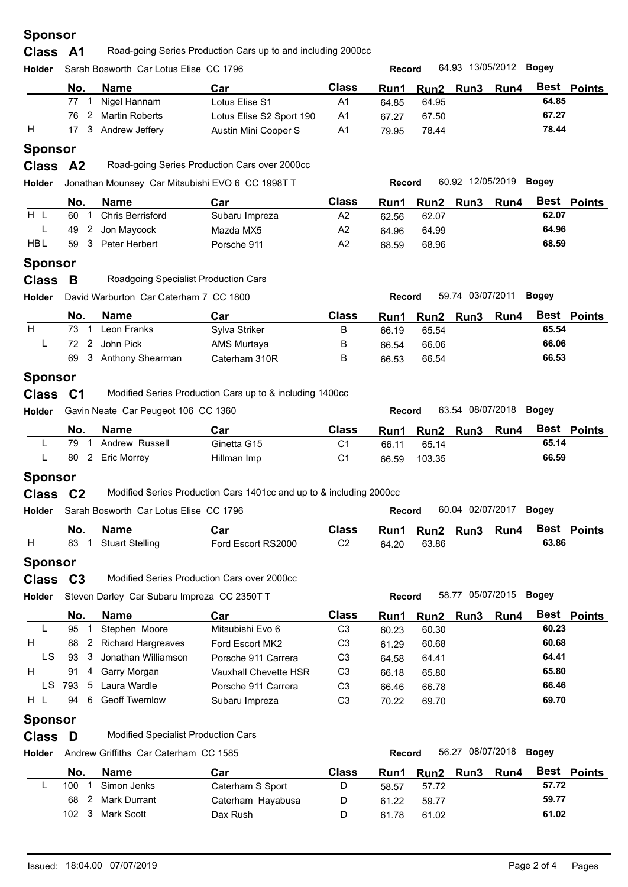| <b>Sponsor</b> |  |
|----------------|--|
|----------------|--|

| Class A1<br>Road-going Series Production Cars up to and including 2000cc |  |
|--------------------------------------------------------------------------|--|
|--------------------------------------------------------------------------|--|

| <b>Holder</b> |     | Sarah Bosworth Car Lotus Elise CC 1796 |                          |                | <b>Record</b> |                     | 64.93 13/05/2012 <b>Bogey</b> |       |        |
|---------------|-----|----------------------------------------|--------------------------|----------------|---------------|---------------------|-------------------------------|-------|--------|
|               | No. | <b>Name</b>                            | Car                      | <b>Class</b>   |               | Run1 Run2 Run3 Run4 |                               | Best  | Points |
|               |     | 77 1 Nigel Hannam                      | Lotus Elise S1           | A1             | 64.85         | 64.95               |                               | 64.85 |        |
|               |     | 76 2 Martin Roberts                    | Lotus Elise S2 Sport 190 | A <sub>1</sub> | 67.27         | 67.50               |                               | 67.27 |        |

#### H 17 3 Andrew Jeffery Austin Mini Cooper S A1 79.95 78.44 **79.95** 78.44 **Sponsor**

| อponsor |
|---------|
|         |

**Class A2** Road-going Series Production Cars over 2000cc

**Holder Record** 60.92 12/05/2019 **Bogey** Jonathan Mounsey Car Mitsubishi EVO 6 CC 1998T T

|            | No. | <b>Name</b>      | Car            | <b>Class</b> | Run1  | Run <sub>2</sub> | <b>Run3</b> | Run4 | Best  | <b>Points</b> |  |
|------------|-----|------------------|----------------|--------------|-------|------------------|-------------|------|-------|---------------|--|
| H          | 60  | Chris Berrisford | Subaru Impreza | A2           | 62.56 | 62.07            |             |      | 62.07 |               |  |
| -          | 49  | 2 Jon Maycock    | Mazda MX5      | A2           | 64.96 | 64.99            |             |      | 64.96 |               |  |
| <b>HBL</b> | 59  | Peter Herbert    | Porsche 911    | A2           | 68.59 | 68.96            |             |      | 68.59 |               |  |
|            |     |                  |                |              |       |                  |             |      |       |               |  |

#### **Sponsor**

| <b>Class</b> |  | Roadgoing Specialist Production Cars |
|--------------|--|--------------------------------------|
|--------------|--|--------------------------------------|

| Holder |      | David Warburton Car Caterham 7 CC 1800 |               |              | 59.74 03/07/2011<br>Boaev<br><b>Record</b> |       |  |                |       |                    |  |  |
|--------|------|----------------------------------------|---------------|--------------|--------------------------------------------|-------|--|----------------|-------|--------------------|--|--|
|        | No.  | Name                                   | Car           | <b>Class</b> | Run1                                       |       |  | Run2 Run3 Run4 |       | <b>Best Points</b> |  |  |
| H      | 73 1 | Leon Franks                            | Sylva Striker | В            | 66.19                                      | 65.54 |  |                | 65.54 |                    |  |  |
|        |      | 72 2 John Pick                         | AMS Murtaya   | В            | 66.54                                      | 66.06 |  |                | 66.06 |                    |  |  |
|        |      | 69 3 Anthony Shearman                  | Caterham 310R | B            | 66.53                                      | 66.54 |  |                | 66.53 |                    |  |  |

#### **Sponsor**

**Holder Record** 63.54 08/07/2018 **Bogey** Gavin Neate Car Peugeot 106 CC 1360

| No. | <b>Name</b>        | Car         | Class | Run1  | Run <sub>2</sub> | <b>Run3</b> | Run4 | Best  | <b>Points</b> |
|-----|--------------------|-------------|-------|-------|------------------|-------------|------|-------|---------------|
| 79  | Andrew Russell     | Ginetta G15 | С1    | 66.11 | 65.14            |             |      | 65.14 |               |
| 80  | <b>Eric Morrev</b> | Hillman Imp | С1    | 66.59 | 103.35           |             |      | 66.59 |               |

### **Sponsor**

**Class** C2 Modified Series Production Cars 1401cc and up to & including 2000cc

| <b>Holder</b> |     | Sarah Bosworth Car Lotus Elise CC 1796 | 60.04 02/07/2017<br><b>Bogey</b><br>Record |       |       |           |  |      |       |        |
|---------------|-----|----------------------------------------|--------------------------------------------|-------|-------|-----------|--|------|-------|--------|
|               | No. | <b>Name</b>                            | Car                                        | Class | Run1  | Run2 Run3 |  | Run4 | Best  | Points |
|               | 83  | <b>Stuart Stelling</b>                 | Ford Escort RS2000                         | C2    | 64.20 | 63.86     |  |      | 63.86 |        |

### **Sponsor**

- **Class C3** Modified Series Production Cars over 2000cc
- **Holder Record** 58.77 05/07/2015 **Bogey** Steven Darley Car Subaru Impreza CC 2350T T

|     | No. |   | <b>Name</b>               | Car                   | <b>Class</b>   | Run1  | Run2 Run3 | <b>Run4</b> |       | Best Points |
|-----|-----|---|---------------------------|-----------------------|----------------|-------|-----------|-------------|-------|-------------|
|     | 95  |   | Stephen Moore             | Mitsubishi Evo 6      | C3             | 60.23 | 60.30     |             | 60.23 |             |
| H   | 88  | 2 | <b>Richard Hargreaves</b> | Ford Escort MK2       | C3             | 61.29 | 60.68     |             | 60.68 |             |
| LS  | 93  |   | 3 Jonathan Williamson     | Porsche 911 Carrera   | C3             | 64.58 | 64.41     |             | 64.41 |             |
| H   | 91  | 4 | Garry Morgan              | Vauxhall Chevette HSR | C <sub>3</sub> | 66.18 | 65.80     |             | 65.80 |             |
| LS  | 793 |   | 5 Laura Wardle            | Porsche 911 Carrera   | C3             | 66.46 | 66.78     |             | 66.46 |             |
| H L | 94  | 6 | <b>Geoff Twemlow</b>      | Subaru Impreza        | C3             | 70.22 | 69.70     |             | 69.70 |             |
|     |     |   |                           |                       |                |       |           |             |       |             |

### **Sponsor**

**Class D** Modified Specialist Production Cars

**Holder Record** 56.27 08/07/2018 **Bogey** Andrew Griffiths Car Caterham CC 1585

| No. |       | <b>Name</b>    | Car               | <b>Class</b> | Run1  | Run2  | <b>Run3</b> | Run4 | Best  | <b>Points</b> |  |
|-----|-------|----------------|-------------------|--------------|-------|-------|-------------|------|-------|---------------|--|
| 100 |       | Simon Jenks    | Caterham S Sport  |              | 58.57 | 57.72 |             |      | 57.72 |               |  |
| 68  |       | 2 Mark Durrant | Caterham Hayabusa | D            | 61.22 | 59.77 |             |      | 59.77 |               |  |
| 102 | . . ว | Mark Scott     | Dax Rush          |              | 61.78 | 61.02 |             |      | 61.02 |               |  |
|     |       |                |                   |              |       |       |             |      |       |               |  |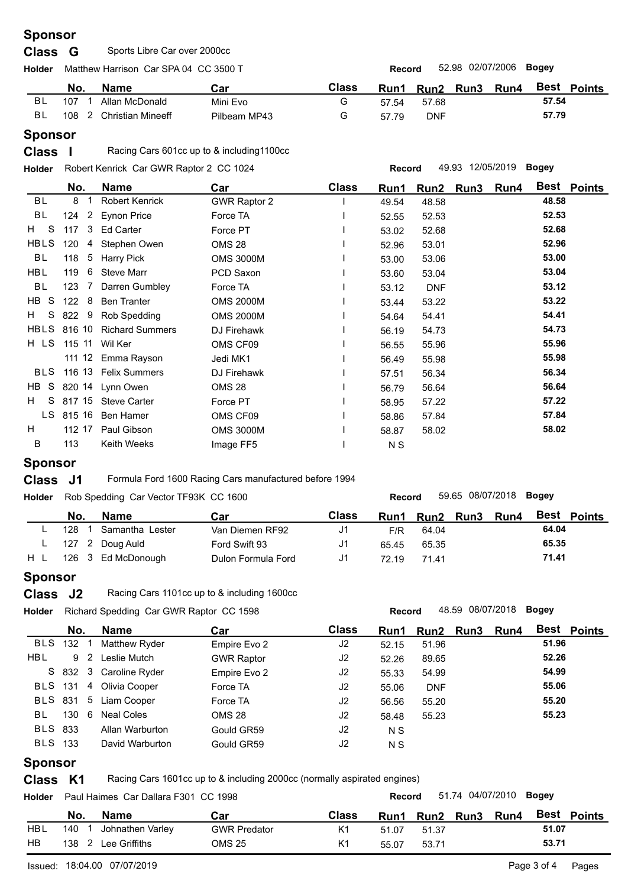## **Sponsor**

## **Class G** Sports Libre Car over 2000cc

| Holder |     | Matthew Harrison Car SPA 04 CC 3500 T |              | 52.98 02/07/2006<br>Bogey<br>Record |             |            |  |             |       |             |  |
|--------|-----|---------------------------------------|--------------|-------------------------------------|-------------|------------|--|-------------|-------|-------------|--|
|        | No. | <b>Name</b>                           | Car          | Class                               | <b>Run1</b> | Run2 Run3  |  | <b>Run4</b> |       | Best Points |  |
| BL     | 107 | Allan McDonald                        | Mini Evo     | G                                   | 57.54       | 57.68      |  |             | 57.54 |             |  |
| BL     |     | 108 2 Christian Mineeff               | Pilbeam MP43 | G                                   | 57.79       | <b>DNF</b> |  |             | 57.79 |             |  |
|        |     |                                       |              |                                     |             |            |  |             |       |             |  |

## **Sponsor**

**Class I** Racing Cars 601cc up to & including1100cc

**Holder Record** 49.93 12/05/2019 **Bogey** Robert Kenrick Car GWR Raptor 2 CC 1024

|                    | No.                | <b>Name</b>            | Car              | <b>Class</b> | Run1  | Run2       | Run3 | Run4 | Best Points |
|--------------------|--------------------|------------------------|------------------|--------------|-------|------------|------|------|-------------|
| BL                 | 8                  | <b>Robert Kenrick</b>  | GWR Raptor 2     |              | 49.54 | 48.58      |      |      | 48.58       |
| <b>BL</b>          | 2<br>124           | <b>Eynon Price</b>     | Force TA         |              | 52.55 | 52.53      |      |      | 52.53       |
| $H$ S              | 117<br>3           | <b>Ed Carter</b>       | Force PT         |              | 53.02 | 52.68      |      |      | 52.68       |
| HBLS               | 120<br>4           | Stephen Owen           | <b>OMS 28</b>    |              | 52.96 | 53.01      |      |      | 52.96       |
| BL                 | $5^{\circ}$<br>118 | <b>Harry Pick</b>      | <b>OMS 3000M</b> |              | 53.00 | 53.06      |      |      | 53.00       |
| <b>HBL</b>         | 119<br>6           | <b>Steve Marr</b>      | PCD Saxon        |              | 53.60 | 53.04      |      |      | 53.04       |
| BL                 | 123<br>-7          | Darren Gumbley         | Force TA         |              | 53.12 | <b>DNF</b> |      |      | 53.12       |
| HB S               | 122<br>8           | <b>Ben Tranter</b>     | <b>OMS 2000M</b> |              | 53.44 | 53.22      |      |      | 53.22       |
| <sub>S</sub><br>H. | 822<br>9           | Rob Spedding           | <b>OMS 2000M</b> |              | 54.64 | 54.41      |      |      | 54.41       |
| HBLS               |                    | 816 10 Richard Summers | DJ Firehawk      |              | 56.19 | 54.73      |      |      | 54.73       |
| H LS               |                    | 115 11 Wil Ker         | OMS CF09         |              | 56.55 | 55.96      |      |      | 55.96       |
|                    |                    | 111 12 Emma Rayson     | Jedi MK1         |              | 56.49 | 55.98      |      |      | 55.98       |
| <b>BLS</b>         |                    | 116 13 Felix Summers   | DJ Firehawk      |              | 57.51 | 56.34      |      |      | 56.34       |
| HB S               |                    | 820 14 Lynn Owen       | <b>OMS 28</b>    |              | 56.79 | 56.64      |      |      | 56.64       |
| H<br>S             | 817 15             | <b>Steve Carter</b>    | Force PT         |              | 58.95 | 57.22      |      |      | 57.22       |
| LS.                | 815 16             | <b>Ben Hamer</b>       | OMS CF09         |              | 58.86 | 57.84      |      |      | 57.84       |
| H                  | 112 17             | Paul Gibson            | <b>OMS 3000M</b> |              | 58.87 | 58.02      |      |      | 58.02       |
| B                  | 113                | Keith Weeks            | Image FF5        |              | N S   |            |      |      |             |

### **Sponsor**

**Class** J1 Formula Ford 1600 Racing Cars manufactured before 1994

**Holder Record** 59.65 08/07/2018 **Bogey** Rob Spedding Car Vector TF93K CC 1600

|     | No. | <b>Name</b>        | Car                | Class          | Run1  | <b>Run2</b> | Run3 | <b>Run4</b> | Best  | Points |  |
|-----|-----|--------------------|--------------------|----------------|-------|-------------|------|-------------|-------|--------|--|
|     | 128 | Samantha Lester    | Van Diemen RF92    | J1             | F/R   | 64.04       |      |             | 64.04 |        |  |
|     |     | 127 2 Doug Auld    | Ford Swift 93      | J <sub>1</sub> | 65.45 | 65.35       |      |             | 65.35 |        |  |
| H L |     | 126 3 Ed McDonough | Dulon Formula Ford | J <sub>1</sub> | 72.19 | 71.41       |      |             | 71.41 |        |  |
|     |     |                    |                    |                |       |             |      |             |       |        |  |

### **Sponsor**

**Class** J2 Racing Cars 1101cc up to & including 1600cc

|                                  |                                |                                                                                                                      |                                         | Record |            |  |      |           |                        |  |  |  |
|----------------------------------|--------------------------------|----------------------------------------------------------------------------------------------------------------------|-----------------------------------------|--------|------------|--|------|-----------|------------------------|--|--|--|
|                                  | Name                           | Car                                                                                                                  | <b>Class</b>                            | Run1   |            |  | Run4 |           | <b>Best Points</b>     |  |  |  |
|                                  |                                | Empire Evo 2                                                                                                         | J <sub>2</sub>                          | 52.15  | 51.96      |  |      | 51.96     |                        |  |  |  |
|                                  | Leslie Mutch                   | <b>GWR Raptor</b>                                                                                                    | J2                                      | 52.26  | 89.65      |  |      | 52.26     |                        |  |  |  |
|                                  |                                | Empire Evo 2                                                                                                         | J2                                      | 55.33  | 54.99      |  |      | 54.99     |                        |  |  |  |
|                                  |                                | Force TA                                                                                                             | J <sub>2</sub>                          | 55.06  | <b>DNF</b> |  |      | 55.06     |                        |  |  |  |
|                                  |                                | Force TA                                                                                                             | J2                                      | 56.56  | 55.20      |  |      | 55.20     |                        |  |  |  |
|                                  | <b>Neal Coles</b>              | <b>OMS 28</b>                                                                                                        | J2                                      | 58.48  | 55.23      |  |      | 55.23     |                        |  |  |  |
|                                  | Allan Warburton                | Gould GR59                                                                                                           | J <sub>2</sub>                          | N S    |            |  |      |           |                        |  |  |  |
|                                  | David Warburton                | Gould GR59                                                                                                           | J <sub>2</sub>                          | N S    |            |  |      |           |                        |  |  |  |
| <b>BLS 833</b><br><b>BLS</b> 133 | No.<br><b>BLS</b> 132 1<br>130 | Matthew Ryder<br>9 <sup>2</sup><br>S 832 3 Caroline Ryder<br>BLS 131 4 Olivia Cooper<br>BLS 831 5 Liam Cooper<br>- 6 | Richard Spedding Car GWR Raptor CC 1598 |        |            |  |      | Run2 Run3 | 48.59 08/07/2018 Bogey |  |  |  |

## **Sponsor**

**Class K1** Racing Cars 1601cc up to & including 2000cc (normally aspirated engines)

| <b>Holder</b> |     | Paul Haimes Car Dallara F301 CC 1998 |                     |                | 51.74 04/07/2010<br>Boaev<br><b>Record</b> |           |  |             |       |               |  |  |
|---------------|-----|--------------------------------------|---------------------|----------------|--------------------------------------------|-----------|--|-------------|-------|---------------|--|--|
|               | No. | <b>Name</b>                          | Car                 | Class          | Run1                                       | Run2 Run3 |  | <b>Run4</b> | Best  | <b>Points</b> |  |  |
| HBL           | 140 | Johnathen Varley                     | <b>GWR Predator</b> | K1             | 51.07                                      | 51.37     |  |             | 51.07 |               |  |  |
| HB            | 138 | Lee Griffiths                        | OMS 25              | K <sub>1</sub> | 55.07                                      | 53.71     |  |             | 53.71 |               |  |  |